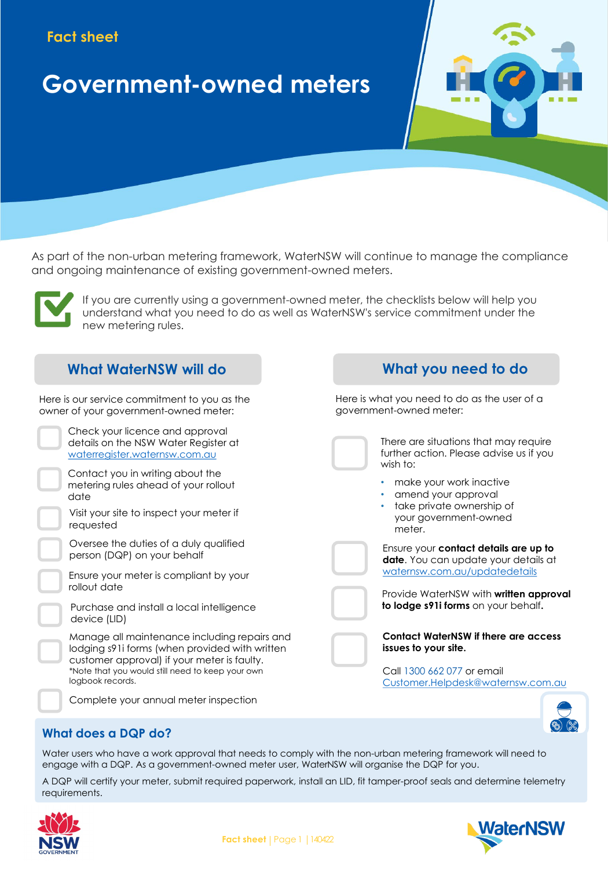# **Fact sheet**

# **Government-owned meters**

As part of the non-urban metering framework, WaterNSW will continue to manage the compliance and ongoing maintenance of existing government-owned meters.



If you are currently using a government-owned meter, the checklists below will help you understand what you need to do as well as WaterNSW's service commitment under the new metering rules.

# **What WaterNSW will do**

Here is our service commitment to you as the owner of your government-owned meter:

- Check your licence and approval details on the NSW Water Register at [waterregister.waternsw.com.au](https://waterregister.waternsw.com.au/water-register-frame)
- Contact you in writing about the metering rules ahead of your rollout date

Visit your site to inspect your meter if requested

Oversee the duties of a duly qualified person (DQP) on your behalf

- Ensure your meter is compliant by your rollout date
- Purchase and install a local intelligence device (LID)

Manage all maintenance including repairs and lodging s91i forms (when provided with written customer approval) if your meter is faulty. \*Note that you would still need to keep your own logbook records.



# **What you need to do**

Here is what you need to do as the user of a government-owned meter:



There are situations that may require further action. Please advise us if you wish to:

- make your work inactive
- amend your approval
- take private ownership of your government-owned meter.

Ensure your **contact details are up to date**. You can update your details at [waternsw.com.au/updatedetails](https://www.waternsw.com.au/customer-service/service-and-help/forms/change-of-details)

Provide WaterNSW with **written approval to lodge s91i forms** on your behalf**.**



Call 1300 662 077 or email [Customer.Helpdesk@waternsw.com.au](mailto:Customer.Helpdesk@waternsw.com.au)



## **What does a DQP do?**

Water users who have a work approval that needs to comply with the non-urban metering framework will need to engage with a DQP. As a government-owned meter user, WaterNSW will organise the DQP for you.

A DQP will certify your meter, submit required paperwork, install an LID, fit tamper-proof seals and determine telemetry requirements.